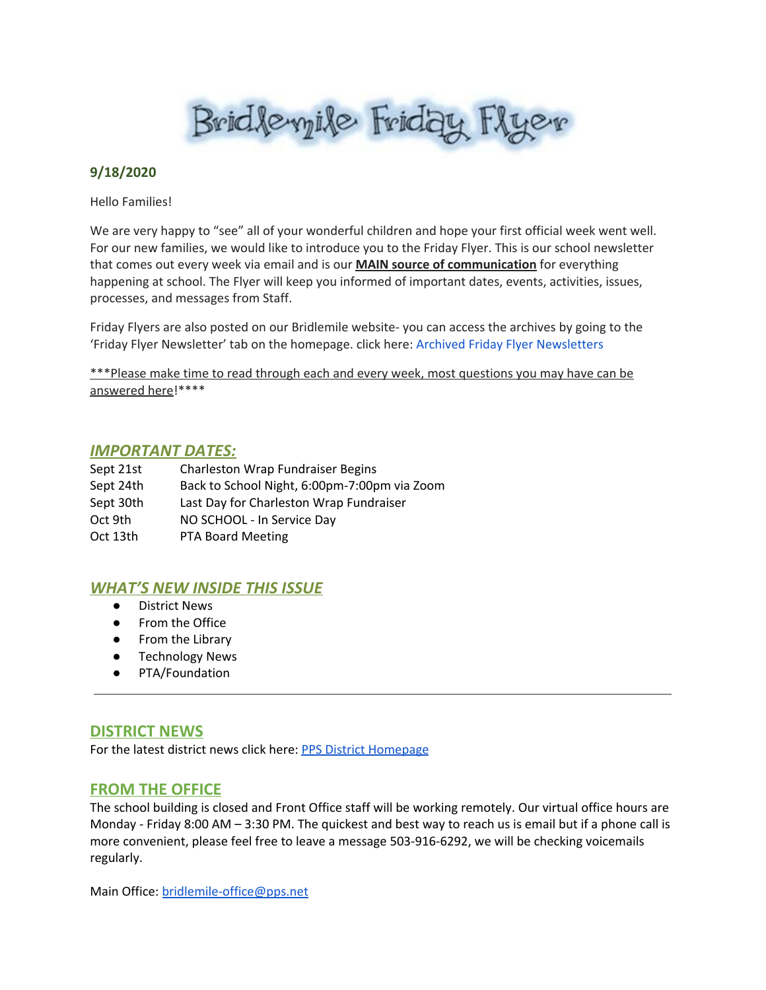Bridleyile Friday Flyer

### **9/18/2020**

Hello Families!

We are very happy to "see" all of your wonderful children and hope your first official week went well. For our new families, we would like to introduce you to the Friday Flyer. This is our school newsletter that comes out every week via email and is our **MAIN source of communication** for everything happening at school. The Flyer will keep you informed of important dates, events, activities, issues, processes, and messages from Staff.

Friday Flyers are also posted on our Bridlemile website- you can access the archives by going to the 'Friday Flyer Newsletter' tab on the homepage. click here: Archived Friday Flyer [Newsletters](https://www.pps.net/Domain/102)

\*\*\*Please make time to read through each and every week, most questions you may have can be answered here!\*\*\*\*

#### *IMPORTANT DATES:*

| Sept 21st | <b>Charleston Wrap Fundraiser Begins</b>     |
|-----------|----------------------------------------------|
| Sept 24th | Back to School Night, 6:00pm-7:00pm via Zoom |
| Sept 30th | Last Day for Charleston Wrap Fundraiser      |
| Oct 9th   | NO SCHOOL - In Service Day                   |
| Oct 13th  | PTA Board Meeting                            |

# *WHAT'S NEW INSIDE THIS ISSUE*

- District News
- From the Office
- From the Library
- Technology News
- PTA/Foundation

# **DISTRICT NEWS**

For the latest district news click here: PPS District [Homepage](https://www.pps.net/portland)

# **FROM THE OFFICE**

The school building is closed and Front Office staff will be working remotely. Our virtual office hours are Monday - Friday 8:00 AM – 3:30 PM. The quickest and best way to reach us is email but if a phone call is more convenient, please feel free to leave a message 503-916-6292, we will be checking voicemails regularly.

Main Office: [bridlemile-office@pps.net](mailto:bridlemile-office@pps.net)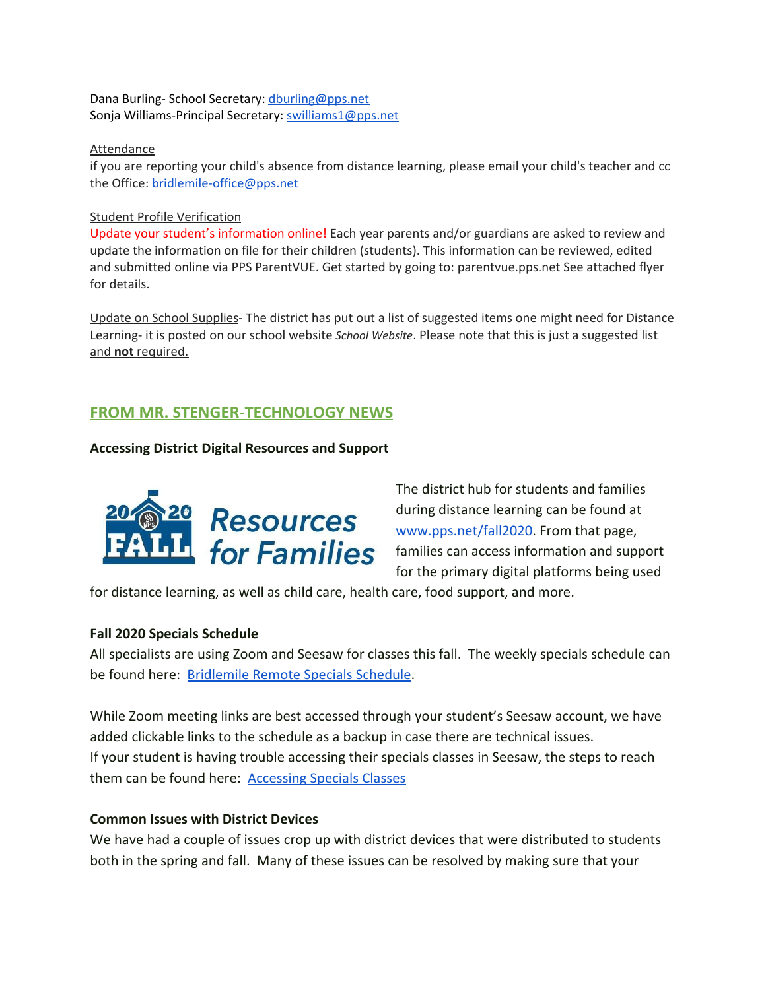Dana Burling- School Secretary: [dburling@pps.net](mailto:dburling@pps.net) Sonja Williams-Principal Secretary: [swilliams1@pps.net](mailto:swilliams1@pps.net)

#### Attendance

if you are reporting your child's absence from distance learning, please email your child's teacher and cc the Office: [bridlemile-office@pps.net](mailto:bridlemile-office@pps.net)

#### Student Profile Verification

Update your student's information online! Each year parents and/or guardians are asked to review and update the information on file for their children (students). This information can be reviewed, edited and submitted online via PPS ParentVUE. Get started by going to: parentvue.pps.net See attached flyer for details.

Update on School Supplies- The district has put out a list of suggested items one might need for Distance Learning- it is posted on our school website *School [Website](http://www.pps.k12.or.us/schools/bridlemile/)*. Please note that this is just a suggested list and **not** required.

# **FROM MR. STENGER-TECHNOLOGY NEWS**

### **Accessing District Digital Resources and Support**



The district hub for students and families during distance learning can be found at [www.pps.net/fall2020.](http://www.pps.net/fall2020) From that page, families can access information and support for the primary digital platforms being used

for distance learning, as well as child care, health care, food support, and more.

### **Fall 2020 Specials Schedule**

All specialists are using Zoom and Seesaw for classes this fall. The weekly specials schedule can be found here: [Bridlemile Remote Specials Schedule](https://docs.google.com/presentation/u/0/d/1UpxJmJgHC2S7KyxMdvI9Bt4agZp4N3qqbH-Yk6qvPD0/edit).

While Zoom meeting links are best accessed through your student's Seesaw account, we have added clickable links to the schedule as a backup in case there are technical issues. If your student is having trouble accessing their specials classes in Seesaw, the steps to reach them can be found here: [Accessing Specials Classes](https://docs.google.com/presentation/u/0/d/1QqvQH5Xm7Sux5AjzWLkiq7Kt_gxhKoYQ3tH7t95vJQk/edit)

### **Common Issues with District Devices**

We have had a couple of issues crop up with district devices that were distributed to students both in the spring and fall. Many of these issues can be resolved by making sure that your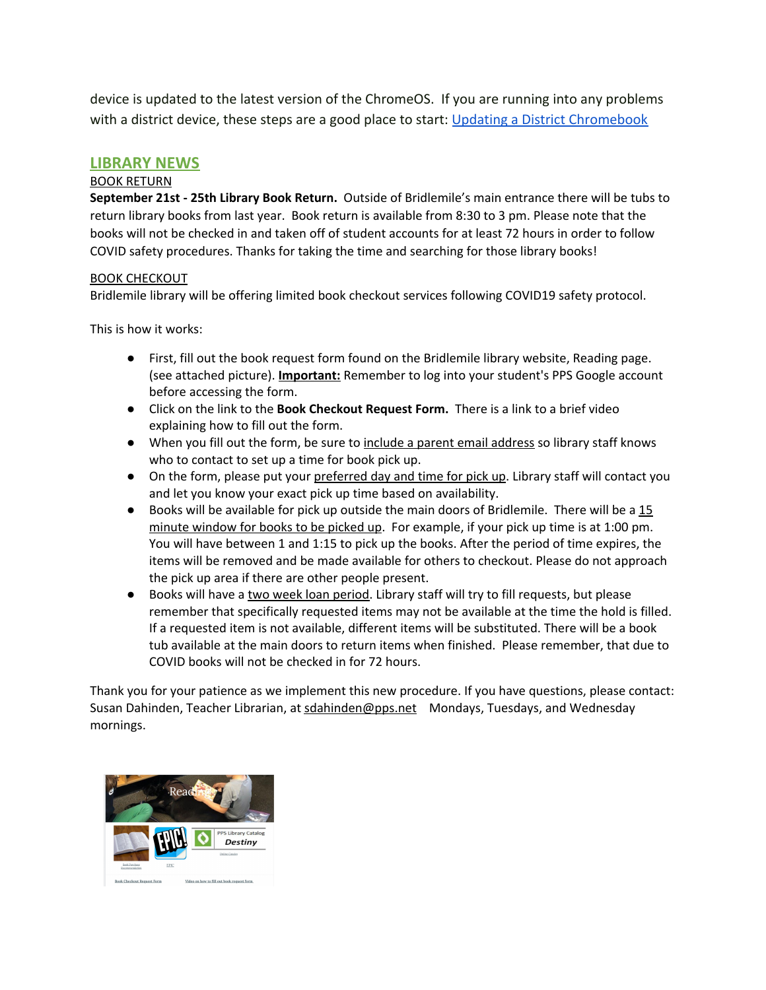device is updated to the latest version of the ChromeOS. If you are running into any problems with a district device, these steps are a good place to start: [Updating a District Chromebook](https://docs.google.com/document/d/1-XrznKLtkIYGYiFqzRECej-_Arzs0vIDfr5faAbrG6g/preview)

### **LIBRARY NEWS**

#### BOOK RETURN

**September 21st - 25th Library Book Return.** Outside of Bridlemile's main entrance there will be tubs to return library books from last year. Book return is available from 8:30 to 3 pm. Please note that the books will not be checked in and taken off of student accounts for at least 72 hours in order to follow COVID safety procedures. Thanks for taking the time and searching for those library books!

#### BOOK CHECKOUT

Bridlemile library will be offering limited book checkout services following COVID19 safety protocol.

This is how it works:

- First, fill out the book request form found on the Bridlemile library website, Reading page. (see attached picture). **Important:** Remember to log into your student's PPS Google account before accessing the form.
- Click on the link to the **Book Checkout Request Form.** There is a link to a brief video explaining how to fill out the form.
- When you fill out the form, be sure to include a parent email address so library staff knows who to contact to set up a time for book pick up.
- On the form, please put your preferred day and time for pick up. Library staff will contact you and let you know your exact pick up time based on availability.
- Books will be available for pick up outside the main doors of Bridlemile. There will be a 15 minute window for books to be picked up. For example, if your pick up time is at 1:00 pm. You will have between 1 and 1:15 to pick up the books. After the period of time expires, the items will be removed and be made available for others to checkout. Please do not approach the pick up area if there are other people present.
- Books will have a two week loan period. Library staff will try to fill requests, but please remember that specifically requested items may not be available at the time the hold is filled. If a requested item is not available, different items will be substituted. There will be a book tub available at the main doors to return items when finished. Please remember, that due to COVID books will not be checked in for 72 hours.

Thank you for your patience as we implement this new procedure. If you have questions, please contact: Susan Dahinden, Teacher Librarian, at sdahinden@pps.net Mondays, Tuesdays, and Wednesday mornings.